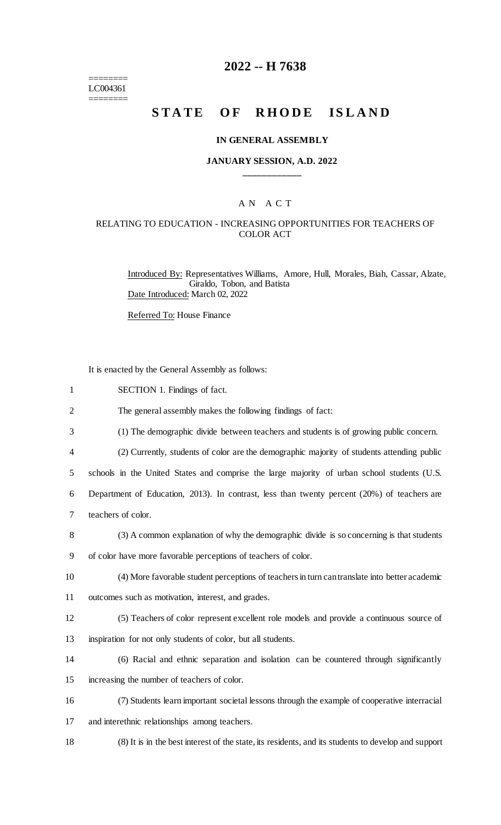======== LC004361 ========

## **2022 -- H 7638**

# STATE OF RHODE ISLAND

### **IN GENERAL ASSEMBLY**

### **JANUARY SESSION, A.D. 2022 \_\_\_\_\_\_\_\_\_\_\_\_**

## A N A C T

### RELATING TO EDUCATION - INCREASING OPPORTUNITIES FOR TEACHERS OF COLOR ACT

Introduced By: Representatives Williams, Amore, Hull, Morales, Biah, Cassar, Alzate, Giraldo, Tobon, and Batista Date Introduced: March 02, 2022

Referred To: House Finance

It is enacted by the General Assembly as follows:

| $\mathbf{1}$   | SECTION 1. Findings of fact.                                                                        |
|----------------|-----------------------------------------------------------------------------------------------------|
| $\overline{2}$ | The general assembly makes the following findings of fact:                                          |
| 3              | (1) The demographic divide between teachers and students is of growing public concern.              |
| 4              | (2) Currently, students of color are the demographic majority of students attending public          |
| 5              | schools in the United States and comprise the large majority of urban school students (U.S.         |
| 6              | Department of Education, 2013). In contrast, less than twenty percent (20%) of teachers are         |
| $\tau$         | teachers of color.                                                                                  |
| 8              | (3) A common explanation of why the demographic divide is so concerning is that students            |
| 9              | of color have more favorable perceptions of teachers of color.                                      |
| 10             | (4) More favorable student perceptions of teachers in turn can translate into better academic       |
| 11             | outcomes such as motivation, interest, and grades.                                                  |
| 12             | (5) Teachers of color represent excellent role models and provide a continuous source of            |
| 13             | inspiration for not only students of color, but all students.                                       |
| 14             | (6) Racial and ethnic separation and isolation can be countered through significantly               |
| 15             | increasing the number of teachers of color.                                                         |
| 16             | (7) Students learn important societal lessons through the example of cooperative interracial        |
| 17             | and interethnic relationships among teachers.                                                       |
| 18             | (8) It is in the best interest of the state, its residents, and its students to develop and support |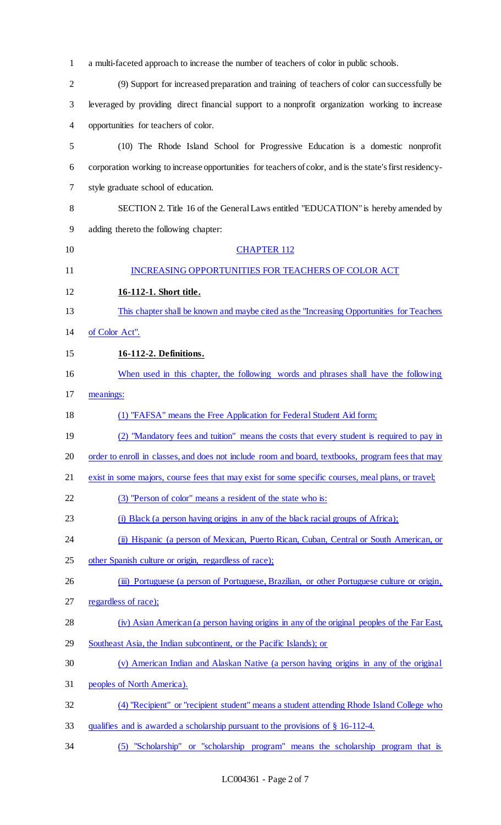| $\mathbf{1}$   | a multi-faceted approach to increase the number of teachers of color in public schools.                  |
|----------------|----------------------------------------------------------------------------------------------------------|
| $\overline{2}$ | (9) Support for increased preparation and training of teachers of color can successfully be              |
| 3              | leveraged by providing direct financial support to a nonprofit organization working to increase          |
| 4              | opportunities for teachers of color.                                                                     |
| 5              | (10) The Rhode Island School for Progressive Education is a domestic nonprofit                           |
| 6              | corporation working to increase opportunities for teachers of color, and is the state's first residency- |
| 7              | style graduate school of education.                                                                      |
| 8              | SECTION 2. Title 16 of the General Laws entitled "EDUCATION" is hereby amended by                        |
| 9              | adding thereto the following chapter:                                                                    |
| 10             | <b>CHAPTER 112</b>                                                                                       |
| 11             | INCREASING OPPORTUNITIES FOR TEACHERS OF COLOR ACT                                                       |
| 12             | 16-112-1. Short title.                                                                                   |
| 13             | This chapter shall be known and maybe cited as the "Increasing Opportunities for Teachers"               |
| 14             | of Color Act".                                                                                           |
| 15             | 16-112-2. Definitions.                                                                                   |
| 16             | When used in this chapter, the following words and phrases shall have the following                      |
| 17             | meanings:                                                                                                |
| 18             | (1) "FAFSA" means the Free Application for Federal Student Aid form;                                     |
| 19             | (2) "Mandatory fees and tuition" means the costs that every student is required to pay in                |
| 20             | order to enroll in classes, and does not include room and board, textbooks, program fees that may        |
| 21             | exist in some majors, course fees that may exist for some specific courses, meal plans, or travel;       |
| 22             | (3) "Person of color" means a resident of the state who is:                                              |
| 23             | (i) Black (a person having origins in any of the black racial groups of Africa);                         |
| 24             | (ii) Hispanic (a person of Mexican, Puerto Rican, Cuban, Central or South American, or                   |
| 25             | other Spanish culture or origin, regardless of race);                                                    |
| 26             | (iii) Portuguese (a person of Portuguese, Brazilian, or other Portuguese culture or origin,              |
| 27             | regardless of race);                                                                                     |
| 28             | (iv) Asian American (a person having origins in any of the original peoples of the Far East,             |
| 29             | Southeast Asia, the Indian subcontinent, or the Pacific Islands); or                                     |
| 30             | (v) American Indian and Alaskan Native (a person having origins in any of the original                   |
| 31             | peoples of North America).                                                                               |
| 32             | (4) "Recipient" or "recipient student" means a student attending Rhode Island College who                |
| 33             | qualifies and is awarded a scholarship pursuant to the provisions of § 16-112-4.                         |
| 34             | (5) "Scholarship" or "scholarship program" means the scholarship program that is                         |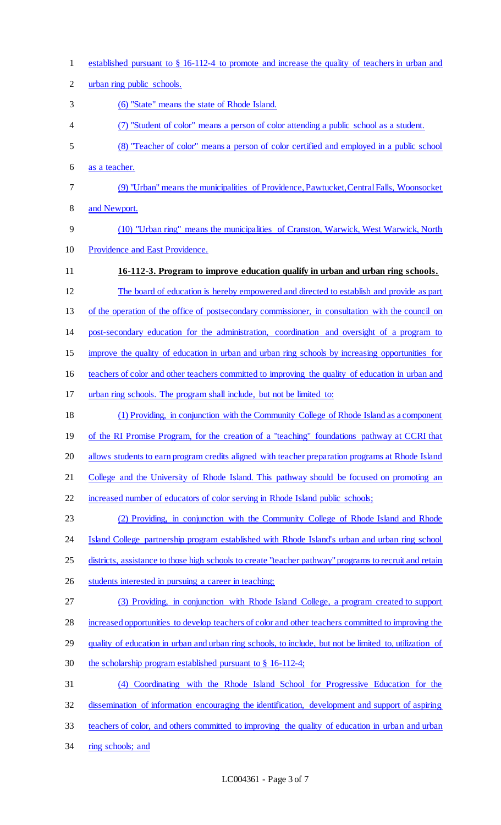| $\mathbf{1}$   | established pursuant to $\S$ 16-112-4 to promote and increase the quality of teachers in urban and      |
|----------------|---------------------------------------------------------------------------------------------------------|
| $\overline{2}$ | urban ring public schools.                                                                              |
| 3              | (6) "State" means the state of Rhode Island.                                                            |
| 4              | (7) "Student of color" means a person of color attending a public school as a student.                  |
| 5              | (8) "Teacher of color" means a person of color certified and employed in a public school                |
| 6              | as a teacher.                                                                                           |
| 7              | (9) "Urban" means the municipalities of Providence, Pawtucket, Central Falls, Woonsocket                |
| 8              | and Newport.                                                                                            |
| 9              | (10) "Urban ring" means the municipalities of Cranston, Warwick, West Warwick, North                    |
| 10             | Providence and East Providence.                                                                         |
| 11             | 16-112-3. Program to improve education qualify in urban and urban ring schools.                         |
| 12             | The board of education is hereby empowered and directed to establish and provide as part                |
| 13             | of the operation of the office of postsecondary commissioner, in consultation with the council on       |
| 14             | post-secondary education for the administration, coordination and oversight of a program to             |
| 15             | improve the quality of education in urban and urban ring schools by increasing opportunities for        |
| 16             | teachers of color and other teachers committed to improving the quality of education in urban and       |
| 17             | urban ring schools. The program shall include, but not be limited to:                                   |
| 18             | (1) Providing, in conjunction with the Community College of Rhode Island as a component                 |
| 19             | of the RI Promise Program, for the creation of a "teaching" foundations pathway at CCRI that            |
| 20             | allows students to earn program credits aligned with teacher preparation programs at Rhode Island       |
| 21             | College and the University of Rhode Island. This pathway should be focused on promoting an              |
| 22             | increased number of educators of color serving in Rhode Island public schools;                          |
| 23             | (2) Providing, in conjunction with the Community College of Rhode Island and Rhode                      |
| 24             | Island College partnership program established with Rhode Island's urban and urban ring school          |
| 25             | districts, assistance to those high schools to create "teacher pathway" programs to recruit and retain  |
| 26             | students interested in pursuing a career in teaching;                                                   |
| 27             | (3) Providing, in conjunction with Rhode Island College, a program created to support                   |
| 28             | increased opportunities to develop teachers of color and other teachers committed to improving the      |
| 29             | quality of education in urban and urban ring schools, to include, but not be limited to, utilization of |
| 30             | the scholarship program established pursuant to $\S$ 16-112-4;                                          |
| 31             | Coordinating with the Rhode Island School for Progressive Education for the<br>(4)                      |
| 32             | dissemination of information encouraging the identification, development and support of aspiring        |
| 33             | teachers of color, and others committed to improving the quality of education in urban and urban        |
| 34             | ring schools; and                                                                                       |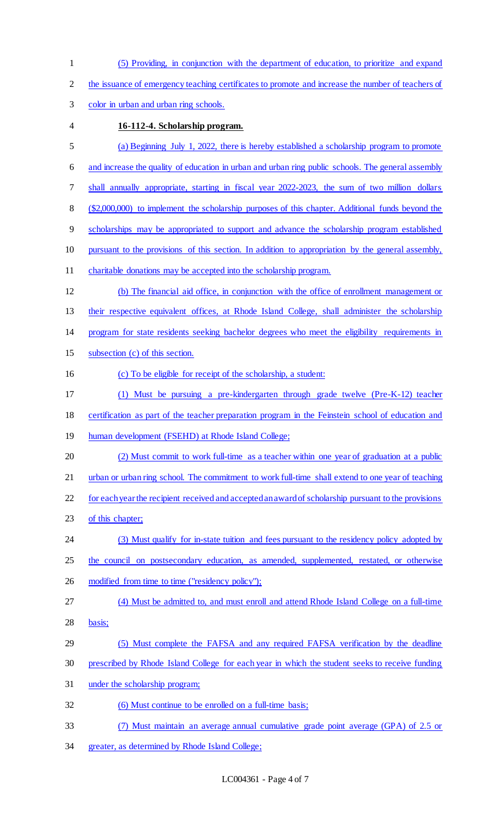(5) Providing, in conjunction with the department of education, to prioritize and expand the issuance of emergency teaching certificates to promote and increase the number of teachers of color in urban and urban ring schools. **16-112-4. Scholarship program.**  (a) Beginning July 1, 2022, there is hereby established a scholarship program to promote and increase the quality of education in urban and urban ring public schools. The general assembly shall annually appropriate, starting in fiscal year 2022-2023, the sum of two million dollars (\$2,000,000) to implement the scholarship purposes of this chapter. Additional funds beyond the scholarships may be appropriated to support and advance the scholarship program established pursuant to the provisions of this section. In addition to appropriation by the general assembly, charitable donations may be accepted into the scholarship program. (b) The financial aid office, in conjunction with the office of enrollment management or their respective equivalent offices, at Rhode Island College, shall administer the scholarship program for state residents seeking bachelor degrees who meet the eligibility requirements in subsection (c) of this section. (c) To be eligible for receipt of the scholarship, a student: (1) Must be pursuing a pre-kindergarten through grade twelve (Pre-K-12) teacher certification as part of the teacher preparation program in the Feinstein school of education and human development (FSEHD) at Rhode Island College; (2) Must commit to work full-time as a teacher within one year of graduation at a public 21 urban or urban ring school. The commitment to work full-time shall extend to one year of teaching for each year the recipient received and accepted an award of scholarship pursuant to the provisions 23 of this chapter; 24 (3) Must qualify for in-state tuition and fees pursuant to the residency policy adopted by the council on postsecondary education, as amended, supplemented, restated, or otherwise 26 modified from time to time ("residency policy"); (4) Must be admitted to, and must enroll and attend Rhode Island College on a full-time basis; (5) Must complete the FAFSA and any required FAFSA verification by the deadline prescribed by Rhode Island College for each year in which the student seeks to receive funding under the scholarship program; (6) Must continue to be enrolled on a full-time basis; (7) Must maintain an average annual cumulative grade point average (GPA) of 2.5 or greater, as determined by Rhode Island College;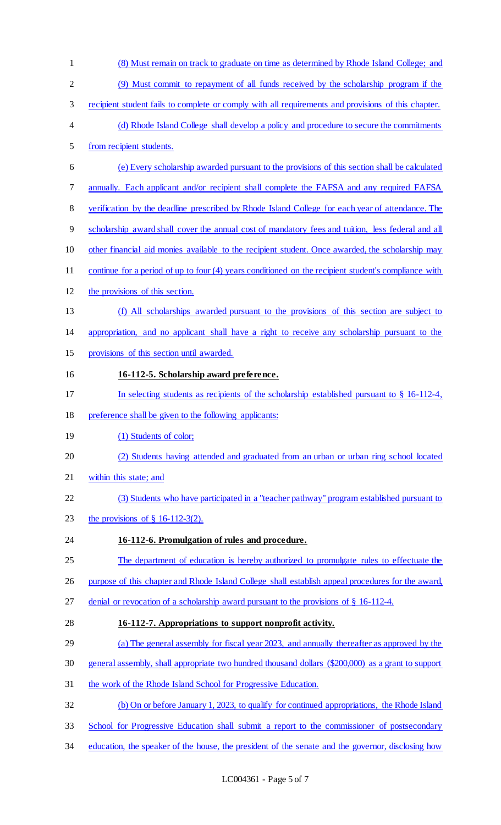(8) Must remain on track to graduate on time as determined by Rhode Island College; and (9) Must commit to repayment of all funds received by the scholarship program if the recipient student fails to complete or comply with all requirements and provisions of this chapter. (d) Rhode Island College shall develop a policy and procedure to secure the commitments from recipient students. (e) Every scholarship awarded pursuant to the provisions of this section shall be calculated 7 annually. Each applicant and/or recipient shall complete the FAFSA and any required FAFSA verification by the deadline prescribed by Rhode Island College for each year of attendance. The scholarship award shall cover the annual cost of mandatory fees and tuition, less federal and all 10 other financial aid monies available to the recipient student. Once awarded, the scholarship may continue for a period of up to four (4) years conditioned on the recipient student's compliance with the provisions of this section. (f) All scholarships awarded pursuant to the provisions of this section are subject to appropriation, and no applicant shall have a right to receive any scholarship pursuant to the provisions of this section until awarded. **16-112-5. Scholarship award preference.**  In selecting students as recipients of the scholarship established pursuant to § 16-112-4, preference shall be given to the following applicants: 19 (1) Students of color; 20 (2) Students having attended and graduated from an urban or urban ring school located within this state; and (3) Students who have participated in a "teacher pathway" program established pursuant to the provisions of § 16-112-3(2). **16-112-6. Promulgation of rules and procedure.**  The department of education is hereby authorized to promulgate rules to effectuate the 26 purpose of this chapter and Rhode Island College shall establish appeal procedures for the award, denial or revocation of a scholarship award pursuant to the provisions of § 16-112-4. **16-112-7. Appropriations to support nonprofit activity.**  (a) The general assembly for fiscal year 2023, and annually thereafter as approved by the general assembly, shall appropriate two hundred thousand dollars (\$200,000) as a grant to support the work of the Rhode Island School for Progressive Education. (b) On or before January 1, 2023, to qualify for continued appropriations, the Rhode Island School for Progressive Education shall submit a report to the commissioner of postsecondary 34 education, the speaker of the house, the president of the senate and the governor, disclosing how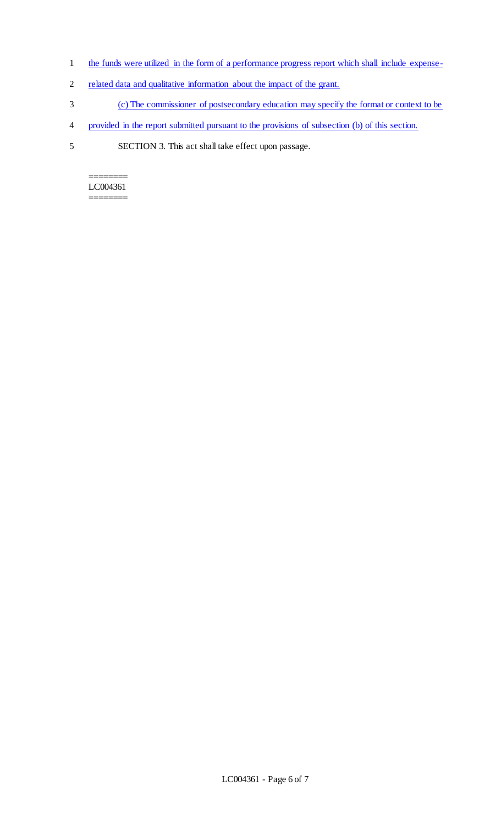- 1 the funds were utilized in the form of a performance progress report which shall include expense-
- 2 related data and qualitative information about the impact of the grant.
- 3 (c) The commissioner of postsecondary education may specify the format or context to be
- 4 provided in the report submitted pursuant to the provisions of subsection (b) of this section.
- 5 SECTION 3. This act shall take effect upon passage.

======== LC004361 ========